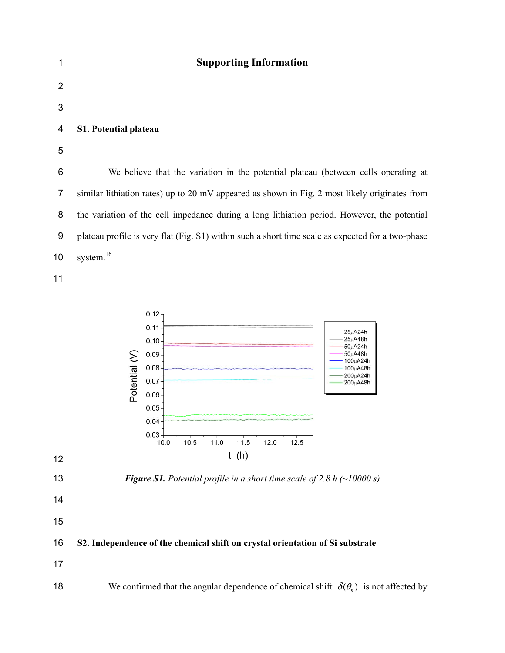| 1              | <b>Supporting Information</b>                                                                     |
|----------------|---------------------------------------------------------------------------------------------------|
| $\overline{2}$ |                                                                                                   |
| 3              |                                                                                                   |
| 4              | <b>S1. Potential plateau</b>                                                                      |
| 5              |                                                                                                   |
| 6              | We believe that the variation in the potential plateau (between cells operating at                |
| 7              | similar lithiation rates) up to 20 mV appeared as shown in Fig. 2 most likely originates from     |
| 8              | the variation of the cell impedance during a long lithiation period. However, the potential       |
| 9              | plateau profile is very flat (Fig. S1) within such a short time scale as expected for a two-phase |
| 10             | system. <sup>16</sup>                                                                             |
| 11             |                                                                                                   |

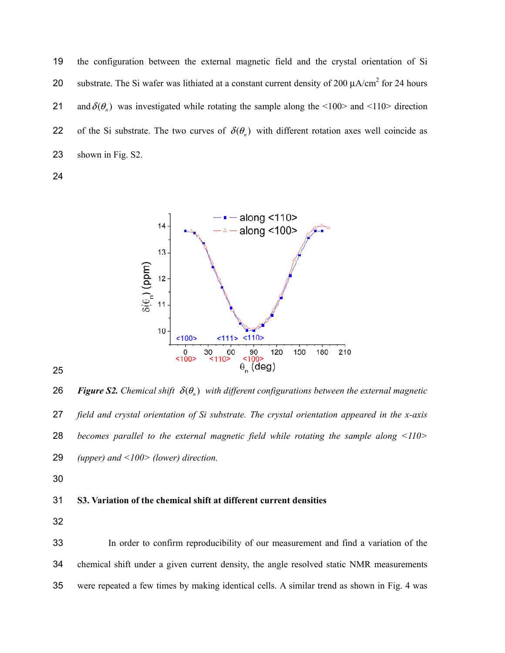the configuration between the external magnetic field and the crystal orientation of Si 20 substrate. The Si wafer was lithiated at a constant current density of 200  $\mu$ A/cm<sup>2</sup> for 24 hours 21 and  $\delta(\theta_n)$  was investigated while rotating the sample along the <100> and <110> direction 22 of the Si substrate. The two curves of  $\delta(\theta_n)$  with different rotation axes well coincide as shown in Fig. S2.



**26** *Figure S2.* Chemical shift  $\delta(\theta_n)$  with different configurations between the external magnetic *field and crystal orientation of Si substrate. The crystal orientation appeared in the x-axis becomes parallel to the external magnetic field while rotating the sample along <110> (upper) and <100> (lower) direction.* 

## **S3. Variation of the chemical shift at different current densities**

In order to confirm reproducibility of our measurement and find a variation of the chemical shift under a given current density, the angle resolved static NMR measurements were repeated a few times by making identical cells. A similar trend as shown in Fig. 4 was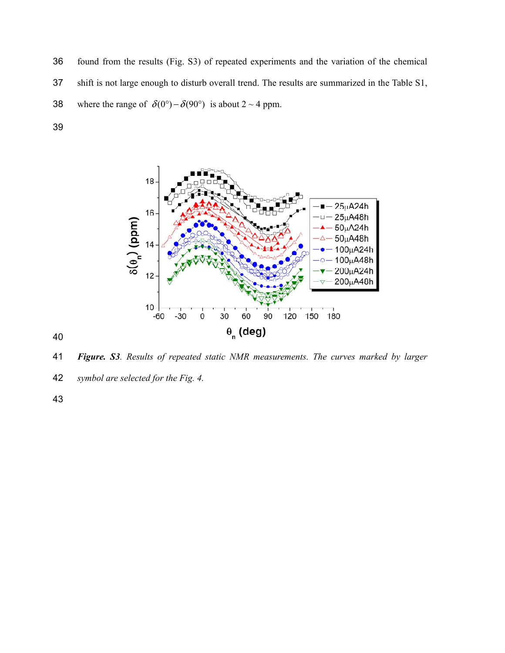found from the results (Fig. S3) of repeated experiments and the variation of the chemical shift is not large enough to disturb overall trend. The results are summarized in the Table S1, 38 where the range of  $\delta(0^\circ) - \delta(90^\circ)$  is about 2 ~ 4 ppm.



*Figure. S3. Results of repeated static NMR measurements. The curves marked by larger* 

*symbol are selected for the Fig. 4.*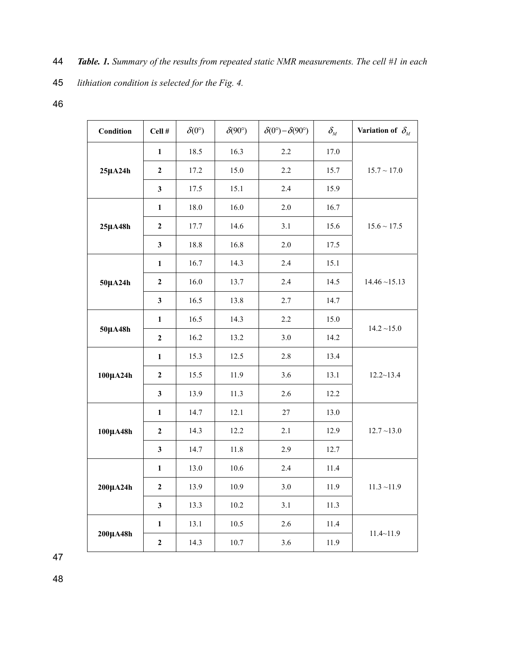- *lithiation condition is selected for the Fig. 4.*
- 

| Condition    | Cell #           | $\delta(0^{\circ})$ | $\delta(90^\circ)$ | $\delta(0^\circ) - \delta(90^\circ)$ | $\delta_{\scriptscriptstyle M}$ | Variation of $\delta_{\scriptscriptstyle M}$ |
|--------------|------------------|---------------------|--------------------|--------------------------------------|---------------------------------|----------------------------------------------|
|              | $\mathbf{1}$     | 18.5                | 16.3               | 2.2                                  | 17.0                            |                                              |
| $25\mu A24h$ | $\boldsymbol{2}$ | 17.2                | 15.0               | 2.2                                  | 15.7                            | $15.7 \sim 17.0$                             |
|              | $\mathbf{3}$     | 17.5                | 15.1               | 2.4                                  | 15.9                            |                                              |
|              | $\mathbf{1}$     | 18.0                | 16.0               | $2.0\,$                              | 16.7                            |                                              |
| $25\mu A48h$ | $\boldsymbol{2}$ | 17.7                | 14.6               | 3.1                                  | 15.6                            | $15.6 \sim 17.5$                             |
|              | $\mathbf{3}$     | 18.8                | 16.8               | $2.0\,$                              | 17.5                            |                                              |
|              | $\mathbf{1}$     | 16.7                | 14.3               | 2.4                                  | 15.1                            |                                              |
| 50µA24h      | $\boldsymbol{2}$ | 16.0                | 13.7               | 2.4                                  | 14.5                            | $14.46 \sim 15.13$                           |
|              | $\mathbf{3}$     | 16.5                | 13.8               | 2.7                                  | 14.7                            |                                              |
|              | $\mathbf{1}$     | 16.5                | 14.3               | 2.2                                  | 15.0                            | $14.2 \sim 15.0$                             |
| 50µA48h      | $\boldsymbol{2}$ | 16.2                | 13.2               | 3.0                                  | 14.2                            |                                              |
|              | $\mathbf{1}$     | 15.3                | 12.5               | 2.8                                  | 13.4                            |                                              |
| 100µA24h     | $\boldsymbol{2}$ | 15.5                | 11.9               | 3.6                                  | 13.1                            | $12.2 \sim 13.4$                             |
|              | $\mathbf{3}$     | 13.9                | 11.3               | 2.6                                  | 12.2                            |                                              |
|              | $\mathbf{1}$     | 14.7                | 12.1               | 27                                   | 13.0                            |                                              |
| 100µA48h     | $\boldsymbol{2}$ | 14.3                | 12.2               | 2.1                                  | 12.9                            | $12.7 - 13.0$                                |
|              | $\mathbf{3}$     | 14.7                | 11.8               | 2.9                                  | 12.7                            |                                              |
|              | $\mathbf{1}$     | 13.0                | 10.6               | 2.4                                  | 11.4                            |                                              |
| 200µA24h     | $\boldsymbol{2}$ | 13.9                | 10.9               | 3.0                                  | 11.9                            | $11.3 \sim 11.9$                             |
|              | $\mathbf{3}$     | 13.3                | $10.2\,$           | 3.1                                  | 11.3                            |                                              |
| 200µA48h     | $\mathbf{1}$     | 13.1                | 10.5               | 2.6                                  | 11.4                            | $11.4 - 11.9$                                |
|              | $\boldsymbol{2}$ | 14.3                | 10.7               | 3.6                                  | 11.9                            |                                              |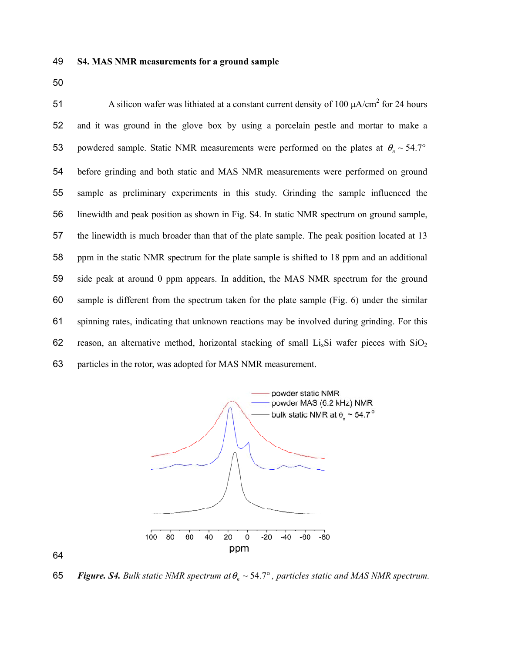A silicon wafer was lithiated at a constant current density of 100 μA/cm<sup>2</sup> for 24 hours and it was ground in the glove box by using a porcelain pestle and mortar to make a 53 powdered sample. Static NMR measurements were performed on the plates at  $\theta_n \sim 54.7^\circ$ before grinding and both static and MAS NMR measurements were performed on ground sample as preliminary experiments in this study. Grinding the sample influenced the linewidth and peak position as shown in Fig. S4. In static NMR spectrum on ground sample, the linewidth is much broader than that of the plate sample. The peak position located at 13 ppm in the static NMR spectrum for the plate sample is shifted to 18 ppm and an additional side peak at around 0 ppm appears. In addition, the MAS NMR spectrum for the ground sample is different from the spectrum taken for the plate sample (Fig. 6) under the similar spinning rates, indicating that unknown reactions may be involved during grinding. For this 62 reason, an alternative method, horizontal stacking of small  $Li<sub>x</sub>Si$  wafer pieces with  $SiO<sub>2</sub>$ particles in the rotor, was adopted for MAS NMR measurement.



65 *Figure. S4. Bulk static NMR spectrum at*  $\theta_n \sim 54.7^\circ$ , particles static and MAS NMR spectrum.